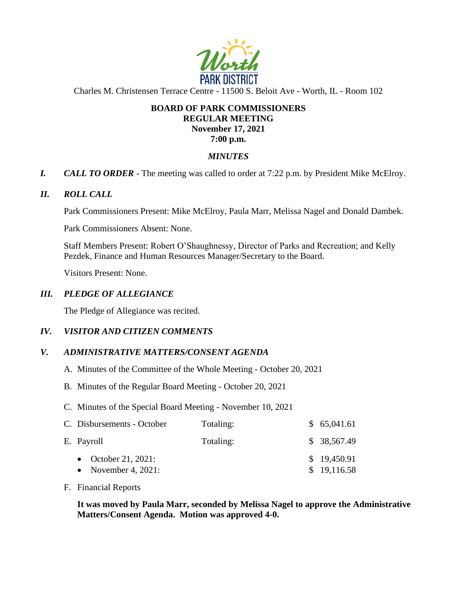

Charles M. Christensen Terrace Centre - 11500 S. Beloit Ave - Worth, IL - Room 102

# **BOARD OF PARK COMMISSIONERS REGULAR MEETING November 17, 2021 7:00 p.m.**

# *MINUTES*

*I. CALL TO ORDER* - The meeting was called to order at 7:22 p.m. by President Mike McElroy.

# *II. ROLL CALL*

Park Commissioners Present: Mike McElroy, Paula Marr, Melissa Nagel and Donald Dambek.

Park Commissioners Absent: None.

Staff Members Present: Robert O'Shaughnessy, Director of Parks and Recreation; and Kelly Pezdek, Finance and Human Resources Manager/Secretary to the Board.

Visitors Present: None.

# *III. PLEDGE OF ALLEGIANCE*

The Pledge of Allegiance was recited.

# *IV. VISITOR AND CITIZEN COMMENTS*

# *V. ADMINISTRATIVE MATTERS/CONSENT AGENDA*

- A. Minutes of the Committee of the Whole Meeting October 20, 2021
- B. Minutes of the Regular Board Meeting October 20, 2021
- C. Minutes of the Special Board Meeting November 10, 2021

| C. Disbursements - October | Totaling: | \$65,041.61  |
|----------------------------|-----------|--------------|
| E. Payroll                 | Totaling: | \$ 38,567.49 |
| • October 21, 2021:        |           | \$19,450.91  |
| • November 4, 2021:        |           | \$19,116.58  |

### F. Financial Reports

**It was moved by Paula Marr, seconded by Melissa Nagel to approve the Administrative Matters/Consent Agenda. Motion was approved 4-0.**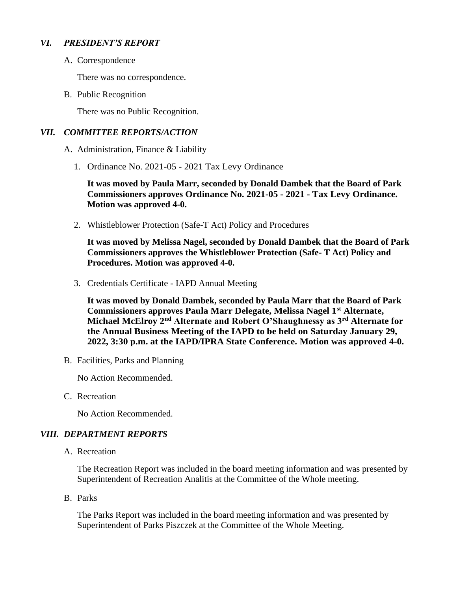# *VI. PRESIDENT'S REPORT*

A. Correspondence

There was no correspondence.

B. Public Recognition

There was no Public Recognition.

### *VII. COMMITTEE REPORTS/ACTION*

A. Administration, Finance & Liability

1. Ordinance No. 2021-05 - 2021 Tax Levy Ordinance

**It was moved by Paula Marr, seconded by Donald Dambek that the Board of Park Commissioners approves Ordinance No. 2021-05 - 2021 - Tax Levy Ordinance. Motion was approved 4-0.** 

2. Whistleblower Protection (Safe-T Act) Policy and Procedures

**It was moved by Melissa Nagel, seconded by Donald Dambek that the Board of Park Commissioners approves the Whistleblower Protection (Safe- T Act) Policy and Procedures. Motion was approved 4-0.** 

3. Credentials Certificate - IAPD Annual Meeting

**It was moved by Donald Dambek, seconded by Paula Marr that the Board of Park Commissioners approves Paula Marr Delegate, Melissa Nagel 1st Alternate, Michael McElroy 2nd Alternate and Robert O'Shaughnessy as 3rd Alternate for the Annual Business Meeting of the IAPD to be held on Saturday January 29, 2022, 3:30 p.m. at the IAPD/IPRA State Conference. Motion was approved 4-0.** 

B. Facilities, Parks and Planning

No Action Recommended.

C. Recreation

No Action Recommended.

### *VIII. DEPARTMENT REPORTS*

A. Recreation

The Recreation Report was included in the board meeting information and was presented by Superintendent of Recreation Analitis at the Committee of the Whole meeting.

B. Parks

The Parks Report was included in the board meeting information and was presented by Superintendent of Parks Piszczek at the Committee of the Whole Meeting.